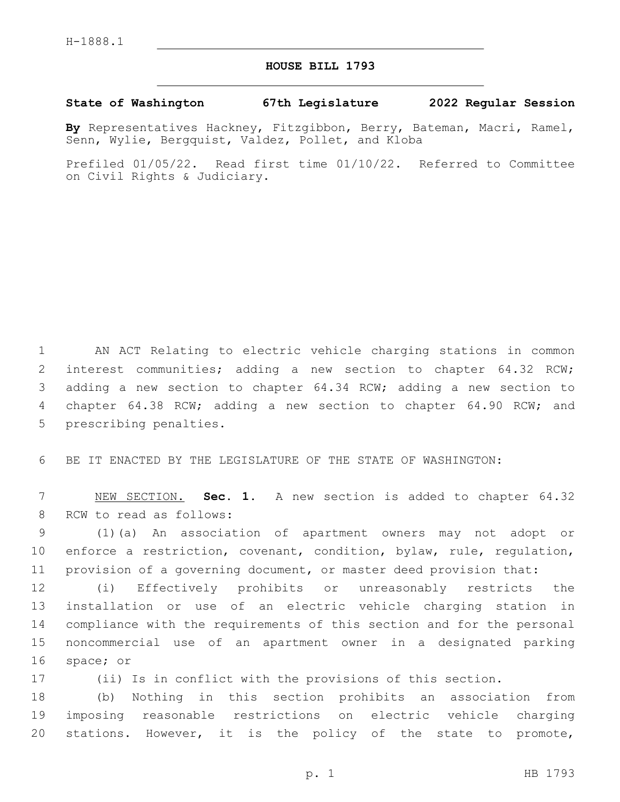## **HOUSE BILL 1793**

## **State of Washington 67th Legislature 2022 Regular Session**

**By** Representatives Hackney, Fitzgibbon, Berry, Bateman, Macri, Ramel, Senn, Wylie, Bergquist, Valdez, Pollet, and Kloba

Prefiled 01/05/22. Read first time 01/10/22. Referred to Committee on Civil Rights & Judiciary.

 AN ACT Relating to electric vehicle charging stations in common interest communities; adding a new section to chapter 64.32 RCW; adding a new section to chapter 64.34 RCW; adding a new section to chapter 64.38 RCW; adding a new section to chapter 64.90 RCW; and 5 prescribing penalties.

BE IT ENACTED BY THE LEGISLATURE OF THE STATE OF WASHINGTON:

 NEW SECTION. **Sec. 1.** A new section is added to chapter 64.32 8 RCW to read as follows:

 (1)(a) An association of apartment owners may not adopt or enforce a restriction, covenant, condition, bylaw, rule, regulation, provision of a governing document, or master deed provision that:

 (i) Effectively prohibits or unreasonably restricts the installation or use of an electric vehicle charging station in compliance with the requirements of this section and for the personal noncommercial use of an apartment owner in a designated parking 16 space; or

(ii) Is in conflict with the provisions of this section.

 (b) Nothing in this section prohibits an association from imposing reasonable restrictions on electric vehicle charging stations. However, it is the policy of the state to promote,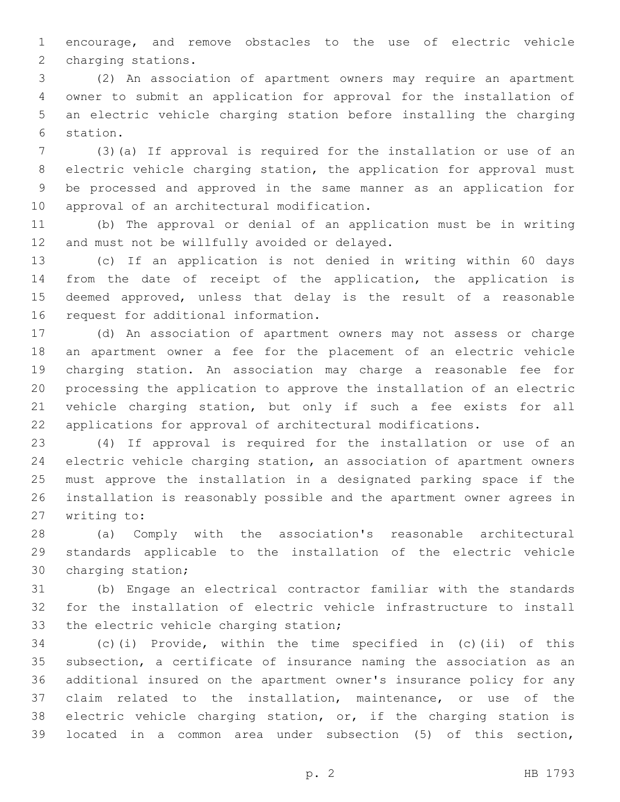encourage, and remove obstacles to the use of electric vehicle 2 charging stations.

 (2) An association of apartment owners may require an apartment owner to submit an application for approval for the installation of an electric vehicle charging station before installing the charging 6 station.

 (3)(a) If approval is required for the installation or use of an electric vehicle charging station, the application for approval must be processed and approved in the same manner as an application for 10 approval of an architectural modification.

 (b) The approval or denial of an application must be in writing 12 and must not be willfully avoided or delayed.

 (c) If an application is not denied in writing within 60 days from the date of receipt of the application, the application is deemed approved, unless that delay is the result of a reasonable 16 request for additional information.

 (d) An association of apartment owners may not assess or charge an apartment owner a fee for the placement of an electric vehicle charging station. An association may charge a reasonable fee for processing the application to approve the installation of an electric vehicle charging station, but only if such a fee exists for all applications for approval of architectural modifications.

 (4) If approval is required for the installation or use of an electric vehicle charging station, an association of apartment owners must approve the installation in a designated parking space if the installation is reasonably possible and the apartment owner agrees in 27 writing to:

 (a) Comply with the association's reasonable architectural standards applicable to the installation of the electric vehicle 30 charging station;

 (b) Engage an electrical contractor familiar with the standards for the installation of electric vehicle infrastructure to install 33 the electric vehicle charging station;

 (c)(i) Provide, within the time specified in (c)(ii) of this subsection, a certificate of insurance naming the association as an additional insured on the apartment owner's insurance policy for any claim related to the installation, maintenance, or use of the electric vehicle charging station, or, if the charging station is located in a common area under subsection (5) of this section,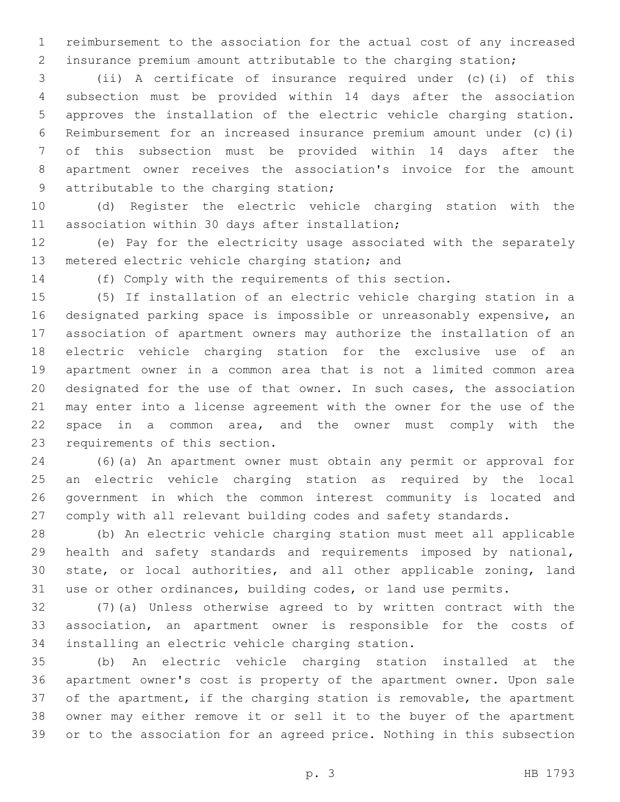reimbursement to the association for the actual cost of any increased insurance premium amount attributable to the charging station;

 (ii) A certificate of insurance required under (c)(i) of this subsection must be provided within 14 days after the association approves the installation of the electric vehicle charging station. Reimbursement for an increased insurance premium amount under (c)(i) of this subsection must be provided within 14 days after the apartment owner receives the association's invoice for the amount 9 attributable to the charging station;

 (d) Register the electric vehicle charging station with the 11 association within 30 days after installation;

 (e) Pay for the electricity usage associated with the separately 13 metered electric vehicle charging station; and

(f) Comply with the requirements of this section.

 (5) If installation of an electric vehicle charging station in a designated parking space is impossible or unreasonably expensive, an association of apartment owners may authorize the installation of an electric vehicle charging station for the exclusive use of an apartment owner in a common area that is not a limited common area designated for the use of that owner. In such cases, the association may enter into a license agreement with the owner for the use of the space in a common area, and the owner must comply with the 23 requirements of this section.

 (6)(a) An apartment owner must obtain any permit or approval for an electric vehicle charging station as required by the local government in which the common interest community is located and comply with all relevant building codes and safety standards.

 (b) An electric vehicle charging station must meet all applicable health and safety standards and requirements imposed by national, state, or local authorities, and all other applicable zoning, land use or other ordinances, building codes, or land use permits.

 (7)(a) Unless otherwise agreed to by written contract with the association, an apartment owner is responsible for the costs of 34 installing an electric vehicle charging station.

 (b) An electric vehicle charging station installed at the apartment owner's cost is property of the apartment owner. Upon sale of the apartment, if the charging station is removable, the apartment owner may either remove it or sell it to the buyer of the apartment or to the association for an agreed price. Nothing in this subsection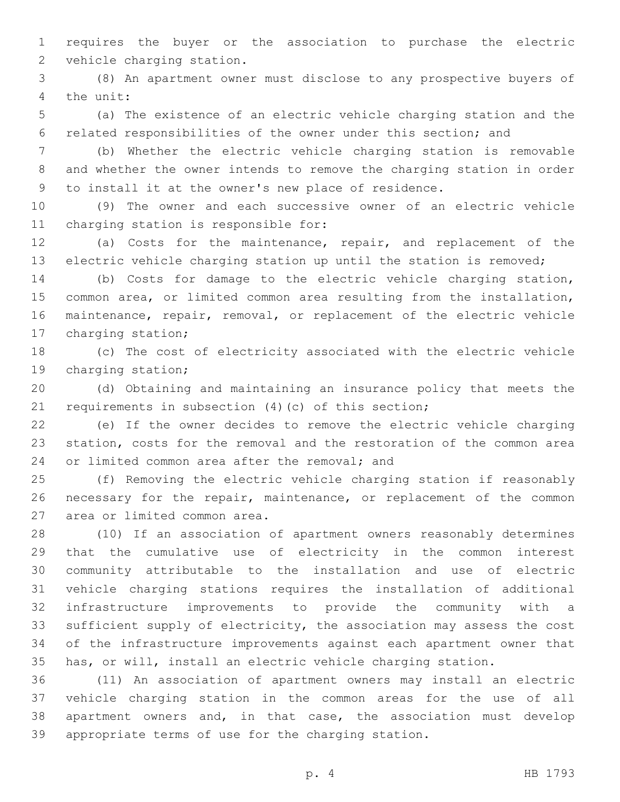requires the buyer or the association to purchase the electric 2 vehicle charging station.

 (8) An apartment owner must disclose to any prospective buyers of 4 the unit:

 (a) The existence of an electric vehicle charging station and the related responsibilities of the owner under this section; and

 (b) Whether the electric vehicle charging station is removable and whether the owner intends to remove the charging station in order to install it at the owner's new place of residence.

 (9) The owner and each successive owner of an electric vehicle 11 charging station is responsible for:

 (a) Costs for the maintenance, repair, and replacement of the electric vehicle charging station up until the station is removed;

 (b) Costs for damage to the electric vehicle charging station, common area, or limited common area resulting from the installation, maintenance, repair, removal, or replacement of the electric vehicle 17 charging station;

 (c) The cost of electricity associated with the electric vehicle 19 charging station;

 (d) Obtaining and maintaining an insurance policy that meets the requirements in subsection (4)(c) of this section;

 (e) If the owner decides to remove the electric vehicle charging station, costs for the removal and the restoration of the common area 24 or limited common area after the removal; and

 (f) Removing the electric vehicle charging station if reasonably necessary for the repair, maintenance, or replacement of the common 27 area or limited common area.

 (10) If an association of apartment owners reasonably determines that the cumulative use of electricity in the common interest community attributable to the installation and use of electric vehicle charging stations requires the installation of additional infrastructure improvements to provide the community with a 33 sufficient supply of electricity, the association may assess the cost of the infrastructure improvements against each apartment owner that has, or will, install an electric vehicle charging station.

 (11) An association of apartment owners may install an electric vehicle charging station in the common areas for the use of all apartment owners and, in that case, the association must develop appropriate terms of use for the charging station.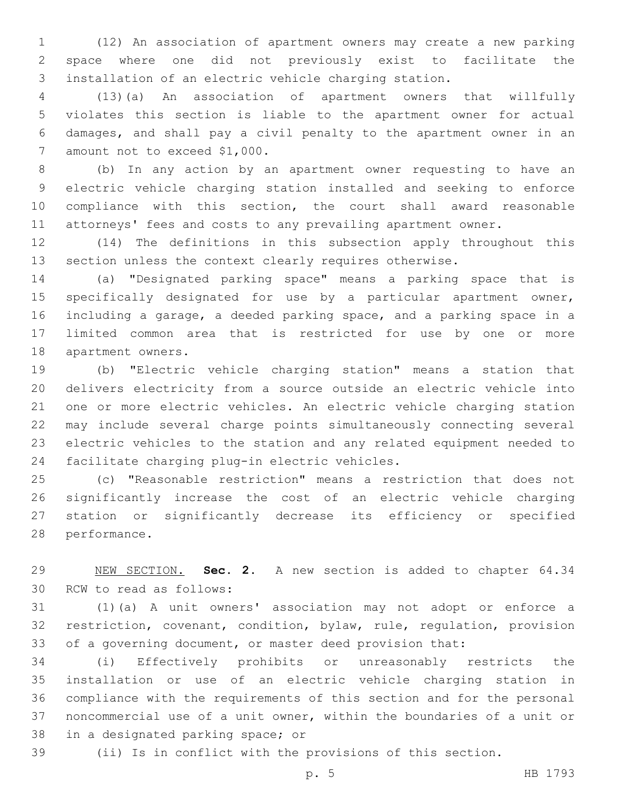(12) An association of apartment owners may create a new parking space where one did not previously exist to facilitate the installation of an electric vehicle charging station.

 (13)(a) An association of apartment owners that willfully violates this section is liable to the apartment owner for actual damages, and shall pay a civil penalty to the apartment owner in an 7 amount not to exceed \$1,000.

 (b) In any action by an apartment owner requesting to have an electric vehicle charging station installed and seeking to enforce compliance with this section, the court shall award reasonable attorneys' fees and costs to any prevailing apartment owner.

 (14) The definitions in this subsection apply throughout this section unless the context clearly requires otherwise.

 (a) "Designated parking space" means a parking space that is specifically designated for use by a particular apartment owner, including a garage, a deeded parking space, and a parking space in a limited common area that is restricted for use by one or more 18 apartment owners.

 (b) "Electric vehicle charging station" means a station that delivers electricity from a source outside an electric vehicle into one or more electric vehicles. An electric vehicle charging station may include several charge points simultaneously connecting several electric vehicles to the station and any related equipment needed to 24 facilitate charging plug-in electric vehicles.

 (c) "Reasonable restriction" means a restriction that does not significantly increase the cost of an electric vehicle charging station or significantly decrease its efficiency or specified 28 performance.

 NEW SECTION. **Sec. 2.** A new section is added to chapter 64.34 30 RCW to read as follows:

 (1)(a) A unit owners' association may not adopt or enforce a restriction, covenant, condition, bylaw, rule, regulation, provision of a governing document, or master deed provision that:

 (i) Effectively prohibits or unreasonably restricts the installation or use of an electric vehicle charging station in compliance with the requirements of this section and for the personal noncommercial use of a unit owner, within the boundaries of a unit or 38 in a designated parking space; or

(ii) Is in conflict with the provisions of this section.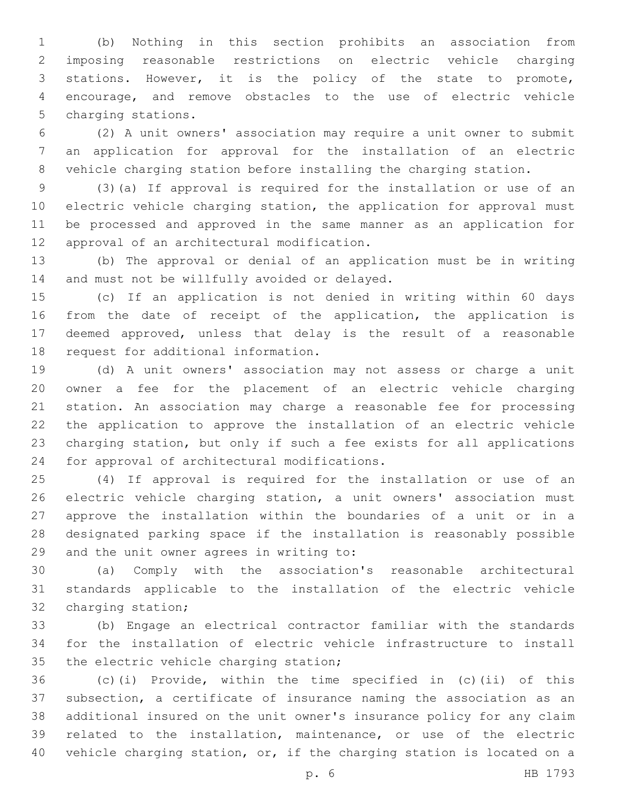(b) Nothing in this section prohibits an association from imposing reasonable restrictions on electric vehicle charging stations. However, it is the policy of the state to promote, encourage, and remove obstacles to the use of electric vehicle 5 charging stations.

 (2) A unit owners' association may require a unit owner to submit an application for approval for the installation of an electric vehicle charging station before installing the charging station.

 (3)(a) If approval is required for the installation or use of an 10 electric vehicle charging station, the application for approval must be processed and approved in the same manner as an application for 12 approval of an architectural modification.

 (b) The approval or denial of an application must be in writing 14 and must not be willfully avoided or delayed.

 (c) If an application is not denied in writing within 60 days from the date of receipt of the application, the application is deemed approved, unless that delay is the result of a reasonable 18 request for additional information.

 (d) A unit owners' association may not assess or charge a unit owner a fee for the placement of an electric vehicle charging station. An association may charge a reasonable fee for processing the application to approve the installation of an electric vehicle charging station, but only if such a fee exists for all applications 24 for approval of architectural modifications.

 (4) If approval is required for the installation or use of an electric vehicle charging station, a unit owners' association must approve the installation within the boundaries of a unit or in a designated parking space if the installation is reasonably possible 29 and the unit owner agrees in writing to:

 (a) Comply with the association's reasonable architectural standards applicable to the installation of the electric vehicle 32 charging station;

 (b) Engage an electrical contractor familiar with the standards for the installation of electric vehicle infrastructure to install 35 the electric vehicle charging station;

 (c)(i) Provide, within the time specified in (c)(ii) of this subsection, a certificate of insurance naming the association as an additional insured on the unit owner's insurance policy for any claim related to the installation, maintenance, or use of the electric vehicle charging station, or, if the charging station is located on a

p. 6 HB 1793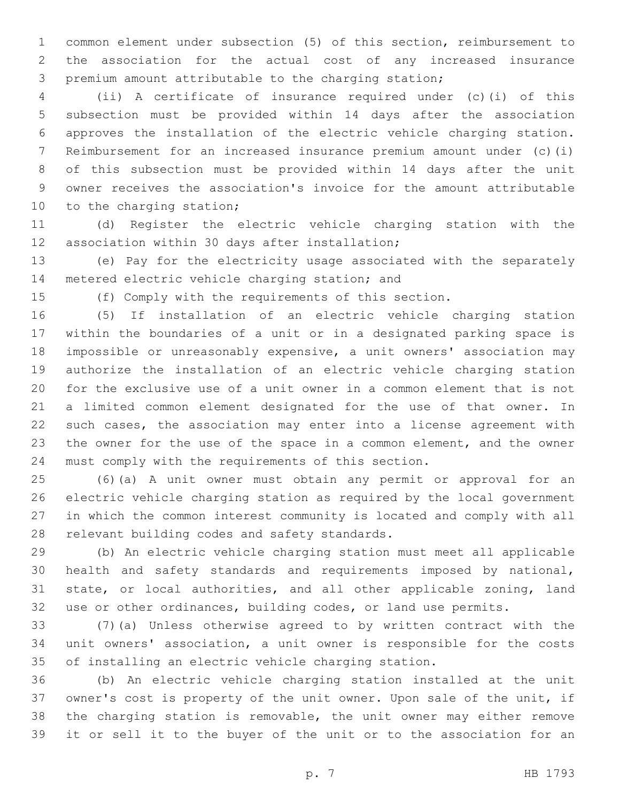common element under subsection (5) of this section, reimbursement to the association for the actual cost of any increased insurance premium amount attributable to the charging station;

 (ii) A certificate of insurance required under (c)(i) of this subsection must be provided within 14 days after the association approves the installation of the electric vehicle charging station. Reimbursement for an increased insurance premium amount under (c)(i) of this subsection must be provided within 14 days after the unit owner receives the association's invoice for the amount attributable 10 to the charging station;

 (d) Register the electric vehicle charging station with the 12 association within 30 days after installation;

 (e) Pay for the electricity usage associated with the separately 14 metered electric vehicle charging station; and

(f) Comply with the requirements of this section.

 (5) If installation of an electric vehicle charging station within the boundaries of a unit or in a designated parking space is impossible or unreasonably expensive, a unit owners' association may authorize the installation of an electric vehicle charging station for the exclusive use of a unit owner in a common element that is not a limited common element designated for the use of that owner. In such cases, the association may enter into a license agreement with the owner for the use of the space in a common element, and the owner must comply with the requirements of this section.

 (6)(a) A unit owner must obtain any permit or approval for an electric vehicle charging station as required by the local government in which the common interest community is located and comply with all 28 relevant building codes and safety standards.

 (b) An electric vehicle charging station must meet all applicable health and safety standards and requirements imposed by national, state, or local authorities, and all other applicable zoning, land use or other ordinances, building codes, or land use permits.

 (7)(a) Unless otherwise agreed to by written contract with the unit owners' association, a unit owner is responsible for the costs of installing an electric vehicle charging station.

 (b) An electric vehicle charging station installed at the unit owner's cost is property of the unit owner. Upon sale of the unit, if the charging station is removable, the unit owner may either remove it or sell it to the buyer of the unit or to the association for an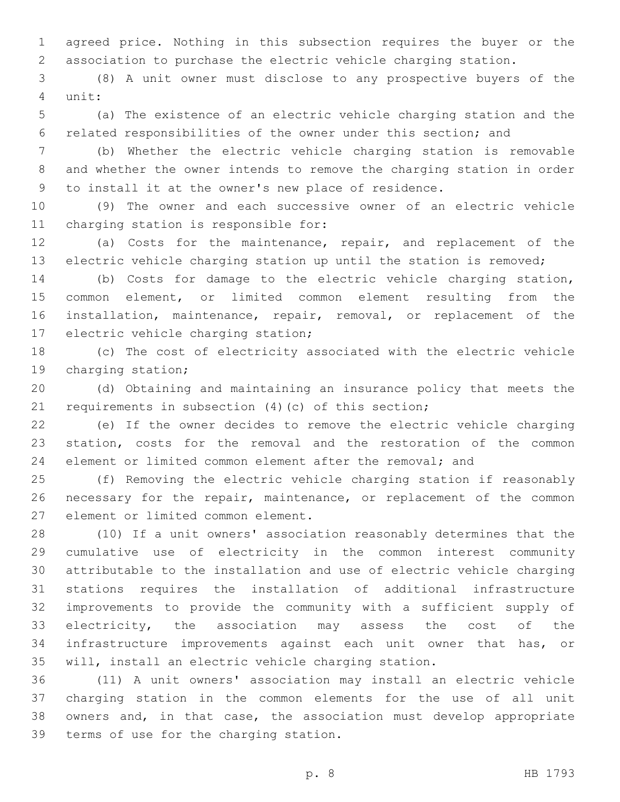agreed price. Nothing in this subsection requires the buyer or the association to purchase the electric vehicle charging station.

 (8) A unit owner must disclose to any prospective buyers of the 4 unit:

 (a) The existence of an electric vehicle charging station and the related responsibilities of the owner under this section; and

 (b) Whether the electric vehicle charging station is removable and whether the owner intends to remove the charging station in order to install it at the owner's new place of residence.

 (9) The owner and each successive owner of an electric vehicle 11 charging station is responsible for:

 (a) Costs for the maintenance, repair, and replacement of the electric vehicle charging station up until the station is removed;

 (b) Costs for damage to the electric vehicle charging station, common element, or limited common element resulting from the installation, maintenance, repair, removal, or replacement of the 17 electric vehicle charging station;

 (c) The cost of electricity associated with the electric vehicle 19 charging station;

 (d) Obtaining and maintaining an insurance policy that meets the requirements in subsection (4)(c) of this section;

 (e) If the owner decides to remove the electric vehicle charging station, costs for the removal and the restoration of the common element or limited common element after the removal; and

 (f) Removing the electric vehicle charging station if reasonably 26 necessary for the repair, maintenance, or replacement of the common 27 element or limited common element.

 (10) If a unit owners' association reasonably determines that the cumulative use of electricity in the common interest community attributable to the installation and use of electric vehicle charging stations requires the installation of additional infrastructure improvements to provide the community with a sufficient supply of electricity, the association may assess the cost of the infrastructure improvements against each unit owner that has, or will, install an electric vehicle charging station.

 (11) A unit owners' association may install an electric vehicle charging station in the common elements for the use of all unit owners and, in that case, the association must develop appropriate 39 terms of use for the charging station.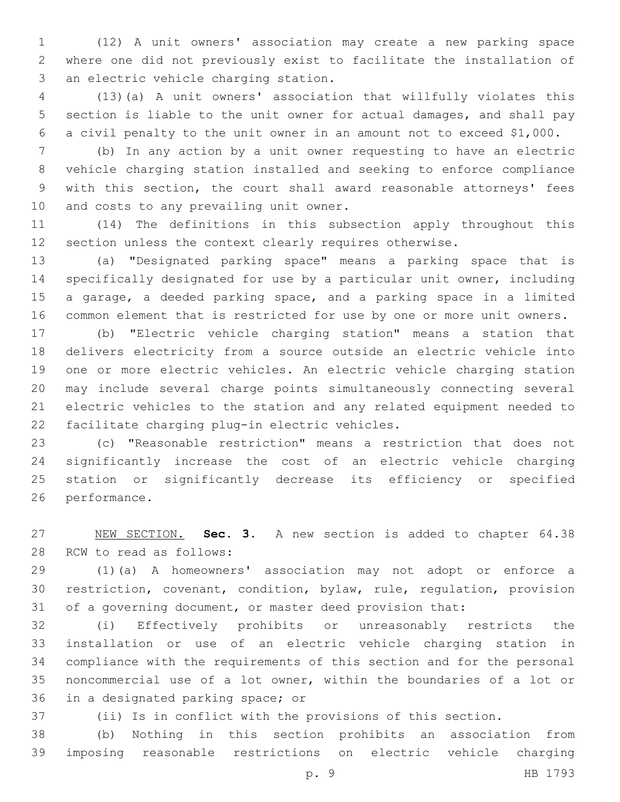(12) A unit owners' association may create a new parking space where one did not previously exist to facilitate the installation of 3 an electric vehicle charging station.

 (13)(a) A unit owners' association that willfully violates this section is liable to the unit owner for actual damages, and shall pay a civil penalty to the unit owner in an amount not to exceed \$1,000.

 (b) In any action by a unit owner requesting to have an electric vehicle charging station installed and seeking to enforce compliance with this section, the court shall award reasonable attorneys' fees 10 and costs to any prevailing unit owner.

 (14) The definitions in this subsection apply throughout this section unless the context clearly requires otherwise.

 (a) "Designated parking space" means a parking space that is specifically designated for use by a particular unit owner, including a garage, a deeded parking space, and a parking space in a limited common element that is restricted for use by one or more unit owners.

 (b) "Electric vehicle charging station" means a station that delivers electricity from a source outside an electric vehicle into one or more electric vehicles. An electric vehicle charging station may include several charge points simultaneously connecting several electric vehicles to the station and any related equipment needed to 22 facilitate charging plug-in electric vehicles.

 (c) "Reasonable restriction" means a restriction that does not significantly increase the cost of an electric vehicle charging station or significantly decrease its efficiency or specified 26 performance.

 NEW SECTION. **Sec. 3.** A new section is added to chapter 64.38 28 RCW to read as follows:

 (1)(a) A homeowners' association may not adopt or enforce a restriction, covenant, condition, bylaw, rule, regulation, provision of a governing document, or master deed provision that:

 (i) Effectively prohibits or unreasonably restricts the installation or use of an electric vehicle charging station in compliance with the requirements of this section and for the personal noncommercial use of a lot owner, within the boundaries of a lot or 36 in a designated parking space; or

(ii) Is in conflict with the provisions of this section.

 (b) Nothing in this section prohibits an association from imposing reasonable restrictions on electric vehicle charging

p. 9 HB 1793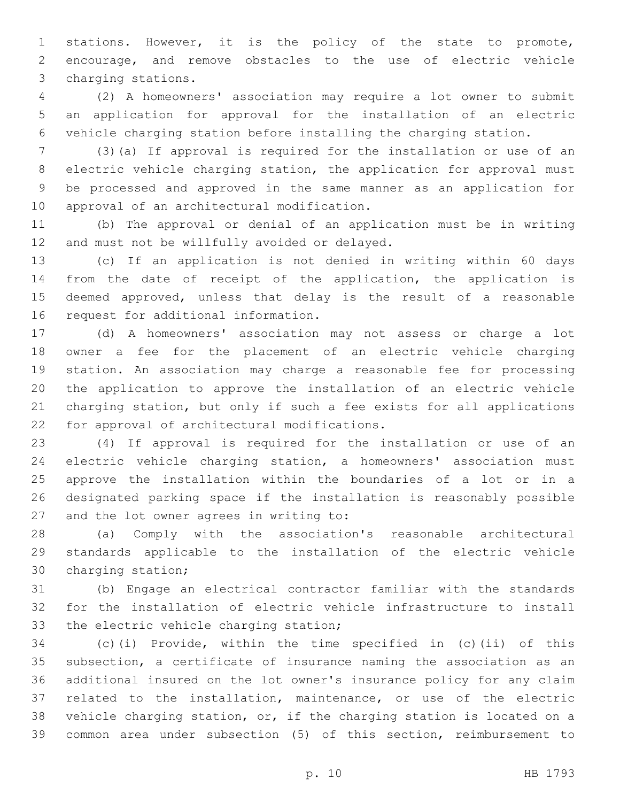stations. However, it is the policy of the state to promote, encourage, and remove obstacles to the use of electric vehicle 3 charging stations.

 (2) A homeowners' association may require a lot owner to submit an application for approval for the installation of an electric vehicle charging station before installing the charging station.

 (3)(a) If approval is required for the installation or use of an electric vehicle charging station, the application for approval must be processed and approved in the same manner as an application for 10 approval of an architectural modification.

 (b) The approval or denial of an application must be in writing 12 and must not be willfully avoided or delayed.

 (c) If an application is not denied in writing within 60 days from the date of receipt of the application, the application is deemed approved, unless that delay is the result of a reasonable 16 request for additional information.

 (d) A homeowners' association may not assess or charge a lot owner a fee for the placement of an electric vehicle charging station. An association may charge a reasonable fee for processing the application to approve the installation of an electric vehicle charging station, but only if such a fee exists for all applications 22 for approval of architectural modifications.

 (4) If approval is required for the installation or use of an electric vehicle charging station, a homeowners' association must approve the installation within the boundaries of a lot or in a designated parking space if the installation is reasonably possible 27 and the lot owner agrees in writing to:

 (a) Comply with the association's reasonable architectural standards applicable to the installation of the electric vehicle 30 charging station;

 (b) Engage an electrical contractor familiar with the standards for the installation of electric vehicle infrastructure to install 33 the electric vehicle charging station;

 (c)(i) Provide, within the time specified in (c)(ii) of this subsection, a certificate of insurance naming the association as an additional insured on the lot owner's insurance policy for any claim related to the installation, maintenance, or use of the electric vehicle charging station, or, if the charging station is located on a common area under subsection (5) of this section, reimbursement to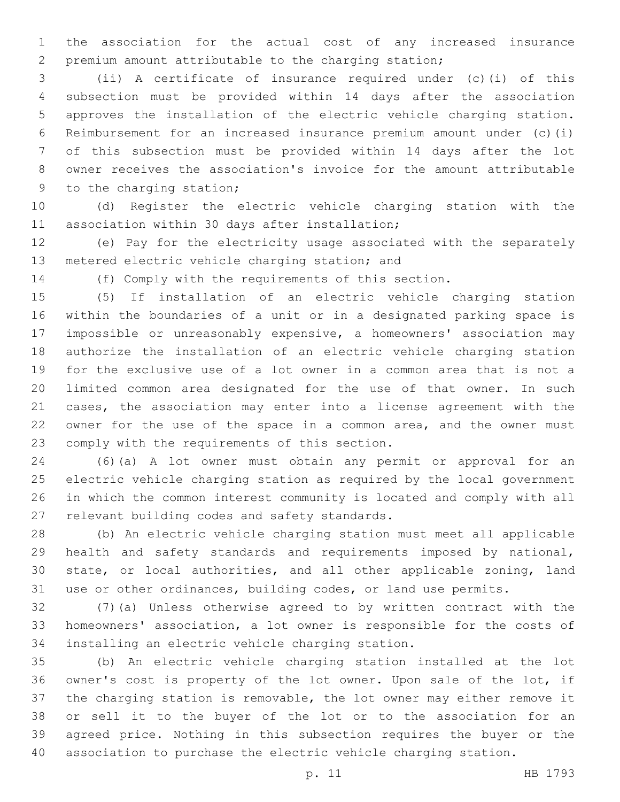the association for the actual cost of any increased insurance premium amount attributable to the charging station;

 (ii) A certificate of insurance required under (c)(i) of this subsection must be provided within 14 days after the association approves the installation of the electric vehicle charging station. Reimbursement for an increased insurance premium amount under (c)(i) of this subsection must be provided within 14 days after the lot owner receives the association's invoice for the amount attributable 9 to the charging station;

 (d) Register the electric vehicle charging station with the 11 association within 30 days after installation;

 (e) Pay for the electricity usage associated with the separately 13 metered electric vehicle charging station; and

(f) Comply with the requirements of this section.

 (5) If installation of an electric vehicle charging station within the boundaries of a unit or in a designated parking space is impossible or unreasonably expensive, a homeowners' association may authorize the installation of an electric vehicle charging station for the exclusive use of a lot owner in a common area that is not a limited common area designated for the use of that owner. In such cases, the association may enter into a license agreement with the owner for the use of the space in a common area, and the owner must 23 comply with the requirements of this section.

 (6)(a) A lot owner must obtain any permit or approval for an electric vehicle charging station as required by the local government in which the common interest community is located and comply with all 27 relevant building codes and safety standards.

 (b) An electric vehicle charging station must meet all applicable health and safety standards and requirements imposed by national, state, or local authorities, and all other applicable zoning, land use or other ordinances, building codes, or land use permits.

 (7)(a) Unless otherwise agreed to by written contract with the homeowners' association, a lot owner is responsible for the costs of 34 installing an electric vehicle charging station.

 (b) An electric vehicle charging station installed at the lot owner's cost is property of the lot owner. Upon sale of the lot, if the charging station is removable, the lot owner may either remove it or sell it to the buyer of the lot or to the association for an agreed price. Nothing in this subsection requires the buyer or the association to purchase the electric vehicle charging station.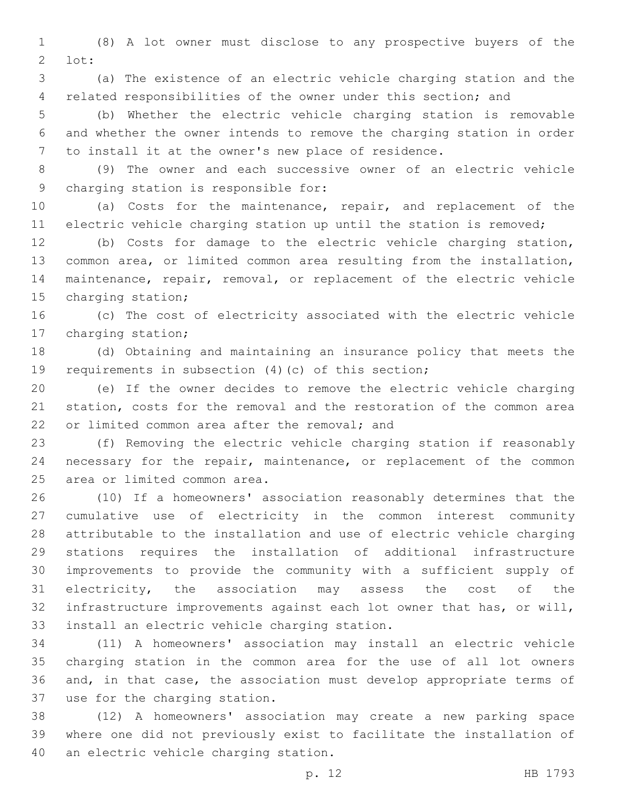(8) A lot owner must disclose to any prospective buyers of the  $2 \cdot \text{lot:}$ 

 (a) The existence of an electric vehicle charging station and the related responsibilities of the owner under this section; and

 (b) Whether the electric vehicle charging station is removable and whether the owner intends to remove the charging station in order to install it at the owner's new place of residence.

 (9) The owner and each successive owner of an electric vehicle 9 charging station is responsible for:

 (a) Costs for the maintenance, repair, and replacement of the electric vehicle charging station up until the station is removed;

 (b) Costs for damage to the electric vehicle charging station, common area, or limited common area resulting from the installation, maintenance, repair, removal, or replacement of the electric vehicle 15 charging station;

 (c) The cost of electricity associated with the electric vehicle 17 charging station;

 (d) Obtaining and maintaining an insurance policy that meets the requirements in subsection (4)(c) of this section;

 (e) If the owner decides to remove the electric vehicle charging station, costs for the removal and the restoration of the common area 22 or limited common area after the removal: and

 (f) Removing the electric vehicle charging station if reasonably necessary for the repair, maintenance, or replacement of the common 25 area or limited common area.

 (10) If a homeowners' association reasonably determines that the cumulative use of electricity in the common interest community attributable to the installation and use of electric vehicle charging stations requires the installation of additional infrastructure improvements to provide the community with a sufficient supply of electricity, the association may assess the cost of the infrastructure improvements against each lot owner that has, or will, 33 install an electric vehicle charging station.

 (11) A homeowners' association may install an electric vehicle charging station in the common area for the use of all lot owners and, in that case, the association must develop appropriate terms of 37 use for the charging station.

 (12) A homeowners' association may create a new parking space where one did not previously exist to facilitate the installation of 40 an electric vehicle charging station.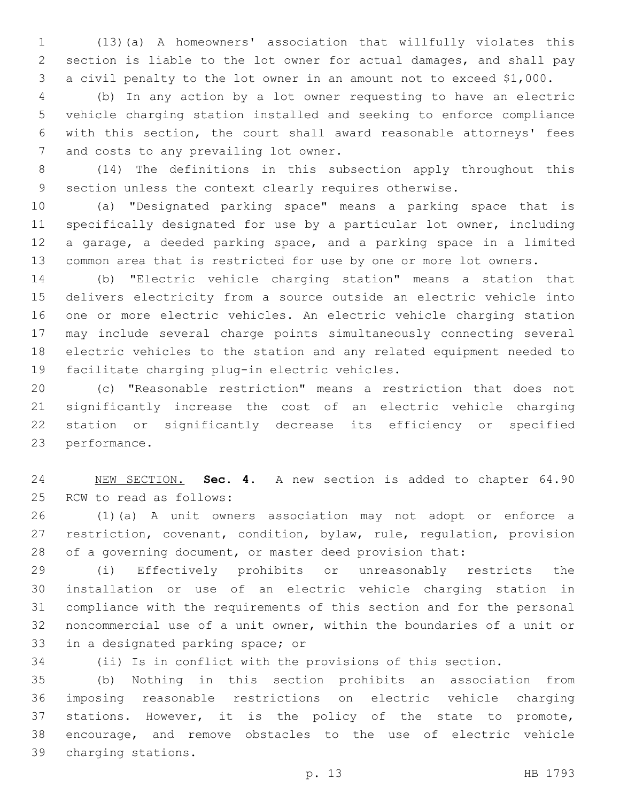(13)(a) A homeowners' association that willfully violates this section is liable to the lot owner for actual damages, and shall pay a civil penalty to the lot owner in an amount not to exceed \$1,000.

 (b) In any action by a lot owner requesting to have an electric vehicle charging station installed and seeking to enforce compliance with this section, the court shall award reasonable attorneys' fees 7 and costs to any prevailing lot owner.

 (14) The definitions in this subsection apply throughout this section unless the context clearly requires otherwise.

 (a) "Designated parking space" means a parking space that is specifically designated for use by a particular lot owner, including a garage, a deeded parking space, and a parking space in a limited common area that is restricted for use by one or more lot owners.

 (b) "Electric vehicle charging station" means a station that delivers electricity from a source outside an electric vehicle into one or more electric vehicles. An electric vehicle charging station may include several charge points simultaneously connecting several electric vehicles to the station and any related equipment needed to 19 facilitate charging plug-in electric vehicles.

 (c) "Reasonable restriction" means a restriction that does not significantly increase the cost of an electric vehicle charging station or significantly decrease its efficiency or specified 23 performance.

 NEW SECTION. **Sec. 4.** A new section is added to chapter 64.90 25 RCW to read as follows:

 (1)(a) A unit owners association may not adopt or enforce a restriction, covenant, condition, bylaw, rule, regulation, provision of a governing document, or master deed provision that:

 (i) Effectively prohibits or unreasonably restricts the installation or use of an electric vehicle charging station in compliance with the requirements of this section and for the personal noncommercial use of a unit owner, within the boundaries of a unit or 33 in a designated parking space; or

(ii) Is in conflict with the provisions of this section.

 (b) Nothing in this section prohibits an association from imposing reasonable restrictions on electric vehicle charging stations. However, it is the policy of the state to promote, encourage, and remove obstacles to the use of electric vehicle 39 charging stations.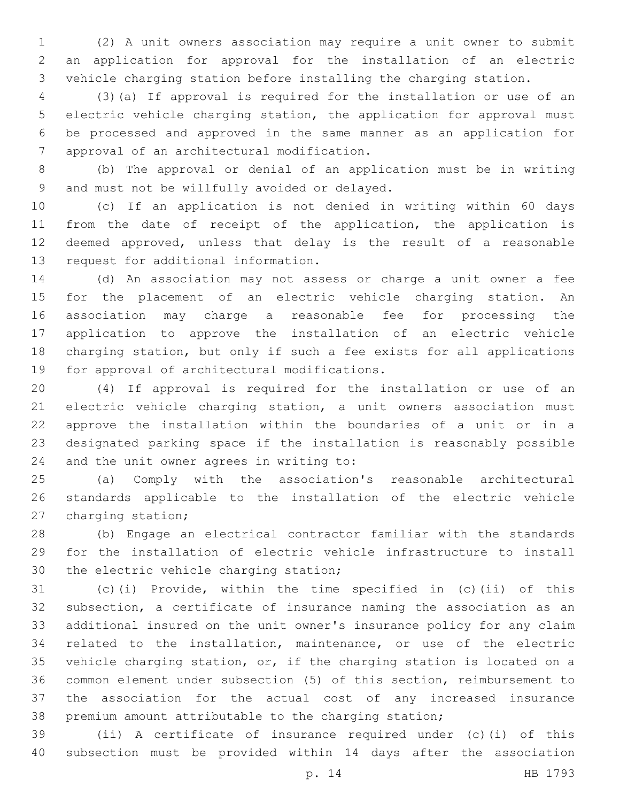(2) A unit owners association may require a unit owner to submit an application for approval for the installation of an electric vehicle charging station before installing the charging station.

 (3)(a) If approval is required for the installation or use of an electric vehicle charging station, the application for approval must be processed and approved in the same manner as an application for 7 approval of an architectural modification.

 (b) The approval or denial of an application must be in writing 9 and must not be willfully avoided or delayed.

 (c) If an application is not denied in writing within 60 days from the date of receipt of the application, the application is deemed approved, unless that delay is the result of a reasonable 13 request for additional information.

 (d) An association may not assess or charge a unit owner a fee for the placement of an electric vehicle charging station. An association may charge a reasonable fee for processing the application to approve the installation of an electric vehicle charging station, but only if such a fee exists for all applications 19 for approval of architectural modifications.

 (4) If approval is required for the installation or use of an electric vehicle charging station, a unit owners association must approve the installation within the boundaries of a unit or in a designated parking space if the installation is reasonably possible 24 and the unit owner agrees in writing to:

 (a) Comply with the association's reasonable architectural standards applicable to the installation of the electric vehicle 27 charging station;

 (b) Engage an electrical contractor familiar with the standards for the installation of electric vehicle infrastructure to install 30 the electric vehicle charging station;

 (c)(i) Provide, within the time specified in (c)(ii) of this subsection, a certificate of insurance naming the association as an additional insured on the unit owner's insurance policy for any claim related to the installation, maintenance, or use of the electric vehicle charging station, or, if the charging station is located on a common element under subsection (5) of this section, reimbursement to the association for the actual cost of any increased insurance premium amount attributable to the charging station;

 (ii) A certificate of insurance required under (c)(i) of this subsection must be provided within 14 days after the association

p. 14 HB 1793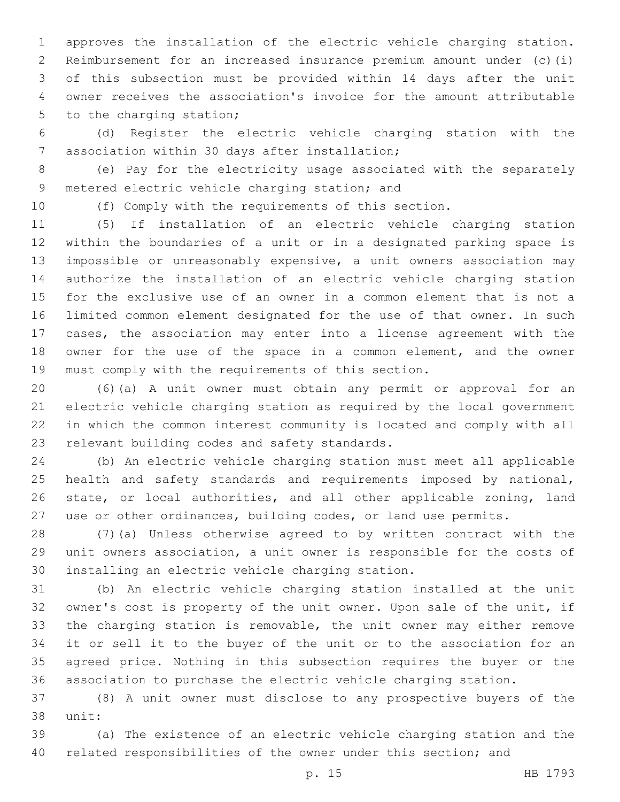approves the installation of the electric vehicle charging station. Reimbursement for an increased insurance premium amount under (c)(i) of this subsection must be provided within 14 days after the unit owner receives the association's invoice for the amount attributable 5 to the charging station;

 (d) Register the electric vehicle charging station with the 7 association within 30 days after installation;

 (e) Pay for the electricity usage associated with the separately 9 metered electric vehicle charging station; and

(f) Comply with the requirements of this section.

 (5) If installation of an electric vehicle charging station within the boundaries of a unit or in a designated parking space is impossible or unreasonably expensive, a unit owners association may authorize the installation of an electric vehicle charging station for the exclusive use of an owner in a common element that is not a limited common element designated for the use of that owner. In such cases, the association may enter into a license agreement with the owner for the use of the space in a common element, and the owner must comply with the requirements of this section.

 (6)(a) A unit owner must obtain any permit or approval for an electric vehicle charging station as required by the local government in which the common interest community is located and comply with all 23 relevant building codes and safety standards.

 (b) An electric vehicle charging station must meet all applicable 25 health and safety standards and requirements imposed by national, state, or local authorities, and all other applicable zoning, land use or other ordinances, building codes, or land use permits.

 (7)(a) Unless otherwise agreed to by written contract with the unit owners association, a unit owner is responsible for the costs of 30 installing an electric vehicle charging station.

 (b) An electric vehicle charging station installed at the unit owner's cost is property of the unit owner. Upon sale of the unit, if the charging station is removable, the unit owner may either remove it or sell it to the buyer of the unit or to the association for an agreed price. Nothing in this subsection requires the buyer or the association to purchase the electric vehicle charging station.

 (8) A unit owner must disclose to any prospective buyers of the 38 unit:

 (a) The existence of an electric vehicle charging station and the 40 related responsibilities of the owner under this section; and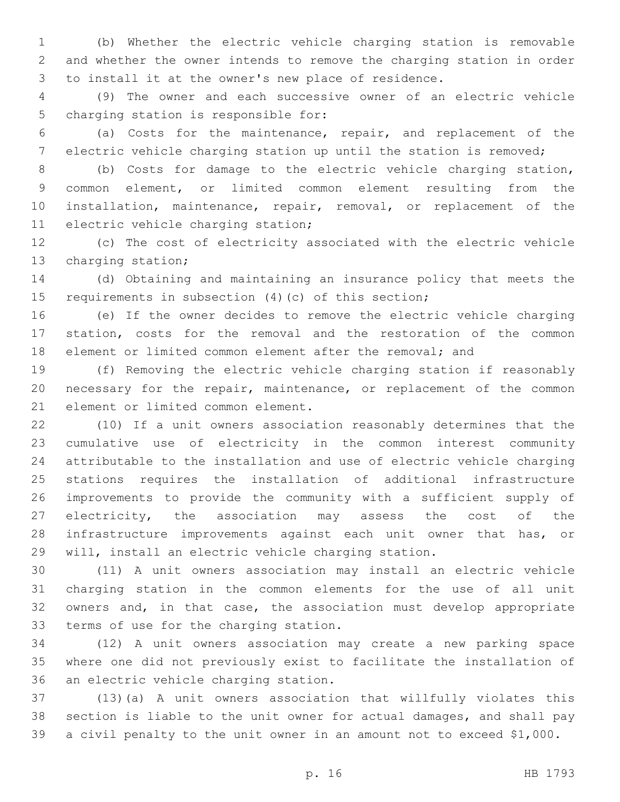(b) Whether the electric vehicle charging station is removable and whether the owner intends to remove the charging station in order to install it at the owner's new place of residence.

 (9) The owner and each successive owner of an electric vehicle 5 charging station is responsible for:

 (a) Costs for the maintenance, repair, and replacement of the electric vehicle charging station up until the station is removed;

 (b) Costs for damage to the electric vehicle charging station, common element, or limited common element resulting from the installation, maintenance, repair, removal, or replacement of the 11 electric vehicle charging station;

 (c) The cost of electricity associated with the electric vehicle 13 charging station;

 (d) Obtaining and maintaining an insurance policy that meets the requirements in subsection (4)(c) of this section;

 (e) If the owner decides to remove the electric vehicle charging station, costs for the removal and the restoration of the common element or limited common element after the removal; and

 (f) Removing the electric vehicle charging station if reasonably necessary for the repair, maintenance, or replacement of the common 21 element or limited common element.

 (10) If a unit owners association reasonably determines that the cumulative use of electricity in the common interest community attributable to the installation and use of electric vehicle charging stations requires the installation of additional infrastructure improvements to provide the community with a sufficient supply of electricity, the association may assess the cost of the infrastructure improvements against each unit owner that has, or will, install an electric vehicle charging station.

 (11) A unit owners association may install an electric vehicle charging station in the common elements for the use of all unit owners and, in that case, the association must develop appropriate 33 terms of use for the charging station.

 (12) A unit owners association may create a new parking space where one did not previously exist to facilitate the installation of 36 an electric vehicle charging station.

 (13)(a) A unit owners association that willfully violates this section is liable to the unit owner for actual damages, and shall pay a civil penalty to the unit owner in an amount not to exceed \$1,000.